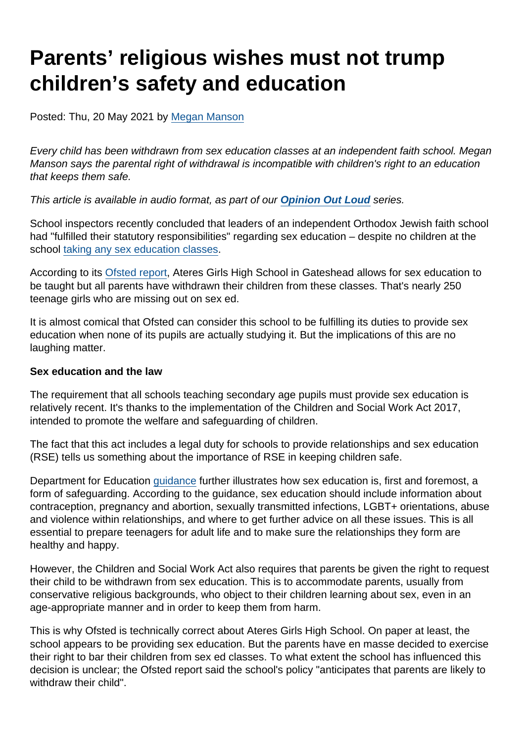## Parents' religious wishes must not trump children's safety and education

Posted: Thu, 20 May 2021 by [Megan Manson](https://www.secularism.org.uk/opinion/authors/971)

Every child has been withdrawn from sex education classes at an independent faith school. Megan Manson says the parental right of withdrawal is incompatible with children's right to an education that keeps them safe.

This article is available in audio format, as part of our [Opinion Out Loud](https://www.secularism.org.uk/podcast/tags/opinion+out+loud) series.

School inspectors recently concluded that leaders of an independent Orthodox Jewish faith school had "fulfilled their statutory responsibilities" regarding sex education – despite no children at the school [taking any sex education classes](https://www.secularism.org.uk/news/2021/05/all-pupils-withdrawn-from-sex-education-at-independent-jewish-school).

According to its [Ofsted report](https://www.secularism.org.uk/news/2021/05/all-pupils-withdrawn-from-sex-education-at-independent-jewish-school), Ateres Girls High School in Gateshead allows for sex education to be taught but all parents have withdrawn their children from these classes. That's nearly 250 teenage girls who are missing out on sex ed.

It is almost comical that Ofsted can consider this school to be fulfilling its duties to provide sex education when none of its pupils are actually studying it. But the implications of this are no laughing matter.

Sex education and the law

The requirement that all schools teaching secondary age pupils must provide sex education is relatively recent. It's thanks to the implementation of the Children and Social Work Act 2017, intended to promote the welfare and safeguarding of children.

The fact that this act includes a legal duty for schools to provide relationships and sex education (RSE) tells us something about the importance of RSE in keeping children safe.

Department for Education [guidance](https://www.gov.uk/government/publications/relationships-education-relationships-and-sex-education-rse-and-health-education) further illustrates how sex education is, first and foremost, a form of safeguarding. According to the guidance, sex education should include information about contraception, pregnancy and abortion, sexually transmitted infections, LGBT+ orientations, abuse and violence within relationships, and where to get further advice on all these issues. This is all essential to prepare teenagers for adult life and to make sure the relationships they form are healthy and happy.

However, the Children and Social Work Act also requires that parents be given the right to request their child to be withdrawn from sex education. This is to accommodate parents, usually from conservative religious backgrounds, who object to their children learning about sex, even in an age-appropriate manner and in order to keep them from harm.

This is why Ofsted is technically correct about Ateres Girls High School. On paper at least, the school appears to be providing sex education. But the parents have en masse decided to exercise their right to bar their children from sex ed classes. To what extent the school has influenced this decision is unclear; the Ofsted report said the school's policy "anticipates that parents are likely to withdraw their child".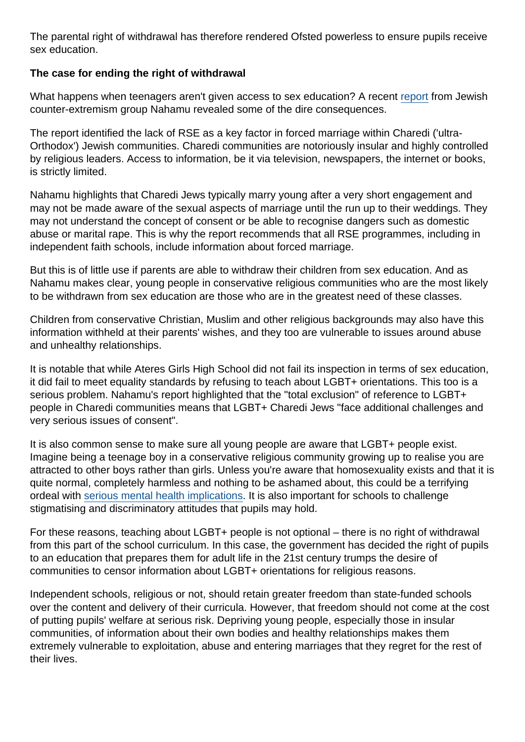The parental right of withdrawal has therefore rendered Ofsted powerless to ensure pupils receive sex education.

The case for ending the right of withdrawal

What happens when teenagers aren't given access to sex education? A recent [report](http://nahamu.org/wp-content/uploads/2021/02/Position-Paper-on-FM-Nahamu-Feb-2021.pdf) from Jewish counter-extremism group Nahamu revealed some of the dire consequences.

The report identified the lack of RSE as a key factor in forced marriage within Charedi ('ultra-Orthodox') Jewish communities. Charedi communities are notoriously insular and highly controlled by religious leaders. Access to information, be it via television, newspapers, the internet or books, is strictly limited.

Nahamu highlights that Charedi Jews typically marry young after a very short engagement and may not be made aware of the sexual aspects of marriage until the run up to their weddings. They may not understand the concept of consent or be able to recognise dangers such as domestic abuse or marital rape. This is why the report recommends that all RSE programmes, including in independent faith schools, include information about forced marriage.

But this is of little use if parents are able to withdraw their children from sex education. And as Nahamu makes clear, young people in conservative religious communities who are the most likely to be withdrawn from sex education are those who are in the greatest need of these classes.

Children from conservative Christian, Muslim and other religious backgrounds may also have this information withheld at their parents' wishes, and they too are vulnerable to issues around abuse and unhealthy relationships.

It is notable that while Ateres Girls High School did not fail its inspection in terms of sex education, it did fail to meet equality standards by refusing to teach about LGBT+ orientations. This too is a serious problem. Nahamu's report highlighted that the "total exclusion" of reference to LGBT+ people in Charedi communities means that LGBT+ Charedi Jews "face additional challenges and very serious issues of consent".

It is also common sense to make sure all young people are aware that LGBT+ people exist. Imagine being a teenage boy in a conservative religious community growing up to realise you are attracted to other boys rather than girls. Unless you're aware that homosexuality exists and that it is quite normal, completely harmless and nothing to be ashamed about, this could be a terrifying ordeal with [serious mental health implications](https://www.theguardian.com/society/2021/may/17/lgbt-youths-twice-as-likely-to-contemplate-suicide-survey-finds). It is also important for schools to challenge stigmatising and discriminatory attitudes that pupils may hold.

For these reasons, teaching about LGBT+ people is not optional – there is no right of withdrawal from this part of the school curriculum. In this case, the government has decided the right of pupils to an education that prepares them for adult life in the 21st century trumps the desire of communities to censor information about LGBT+ orientations for religious reasons.

Independent schools, religious or not, should retain greater freedom than state-funded schools over the content and delivery of their curricula. However, that freedom should not come at the cost of putting pupils' welfare at serious risk. Depriving young people, especially those in insular communities, of information about their own bodies and healthy relationships makes them extremely vulnerable to exploitation, abuse and entering marriages that they regret for the rest of their lives.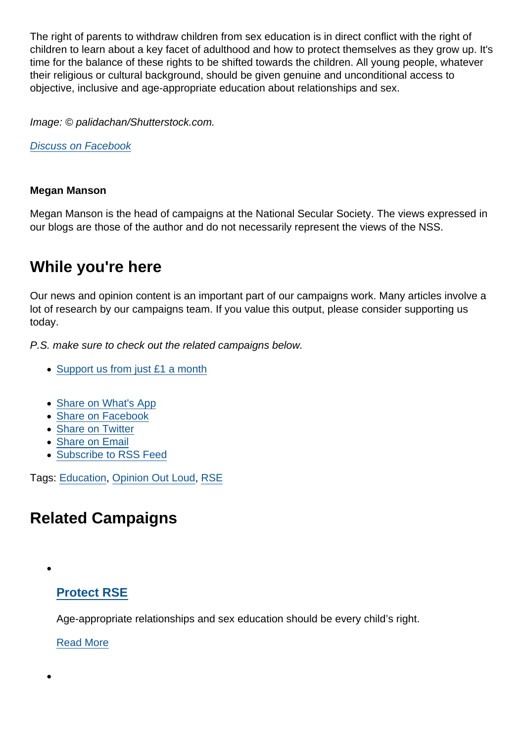The right of parents to withdraw children from sex education is in direct conflict with the right of children to learn about a key facet of adulthood and how to protect themselves as they grow up. It's time for the balance of these rights to be shifted towards the children. All young people, whatever their religious or cultural background, should be given genuine and unconditional access to objective, inclusive and age-appropriate education about relationships and sex.

Image: © palidachan/Shutterstock.com.

[Discuss on Facebook](https://www.facebook.com/NationalSecularSociety/posts/3997961706938817?__cft__[0]=AZVj-rB-Vrs0HE6oWt_8vbW0ttIMywcdi-VxHjmYoyMITO20Lja8sim171L_XczHzbDe2HQdbPGqXfH_TVMBKF2dCGQtH5B4uan9ZEENvUtW9RRgqOhLgclDkdXwWRH1gFfDn_x2HahcfT5sEPviVmle8mbul3Yf7OFkgcRiaZqDxCPEqju4JU408CUjbt7uNIc&__tn__=,O,P-R)

Megan Manson

Megan Manson is the head of campaigns at the National Secular Society. The views expressed in our blogs are those of the author and do not necessarily represent the views of the NSS.

## While you're here

Our news and opinion content is an important part of our campaigns work. Many articles involve a lot of research by our campaigns team. If you value this output, please consider supporting us today.

P.S. make sure to check out the related campaigns below.

- [Support us from just £1 a month](https://www.secularism.org.uk/donate.html)
- [Share on What's App](whatsapp://send?text=http://www.secularism.org.uk/opinion/2021/05/parents-religious-wishes-must-not-trump-childrens-safety-and-education?format=pdf)
- [Share on Facebook](https://www.facebook.com/sharer/sharer.php?u=http://www.secularism.org.uk/opinion/2021/05/parents-religious-wishes-must-not-trump-childrens-safety-and-education?format=pdf&t=Parents’+religious+wishes+must+not+trump+children’s+safety+and+education)
- [Share on Twitter](https://twitter.com/intent/tweet?url=http://www.secularism.org.uk/opinion/2021/05/parents-religious-wishes-must-not-trump-childrens-safety-and-education?format=pdf&text=Parents’+religious+wishes+must+not+trump+children’s+safety+and+education&via=NatSecSoc)
- [Share on Email](https://www.secularism.org.uk/share.html?url=http://www.secularism.org.uk/opinion/2021/05/parents-religious-wishes-must-not-trump-childrens-safety-and-education?format=pdf&title=Parents’+religious+wishes+must+not+trump+children’s+safety+and+education)
- [Subscribe to RSS Feed](/mnt/web-data/www/cp-nss/feeds/rss/news)

Tags: [Education,](https://www.secularism.org.uk/opinion/tags/Education) [Opinion Out Loud](https://www.secularism.org.uk/opinion/tags/Opinion+Out+Loud), [RSE](https://www.secularism.org.uk/opinion/tags/RSE)

## Related Campaigns

## [Protect RSE](https://www.secularism.org.uk/sex-education/)

Age-appropriate relationships and sex education should be every child's right.

[Read More](https://www.secularism.org.uk/sex-education/)